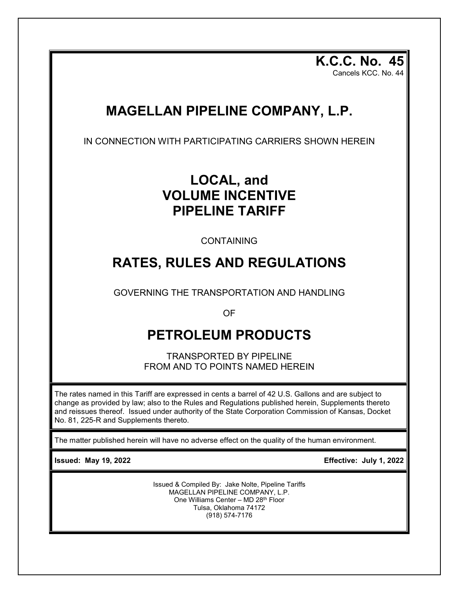**K.C.C. No. 45** Cancels KCC. No. 44

# **MAGELLAN PIPELINE COMPANY, L.P.**

IN CONNECTION WITH PARTICIPATING CARRIERS SHOWN HEREIN

# **LOCAL, and VOLUME INCENTIVE PIPELINE TARIFF**

CONTAINING

# **RATES, RULES AND REGULATIONS**

GOVERNING THE TRANSPORTATION AND HANDLING

OF

# **PETROLEUM PRODUCTS**

TRANSPORTED BY PIPELINE FROM AND TO POINTS NAMED HEREIN

The rates named in this Tariff are expressed in cents a barrel of 42 U.S. Gallons and are subject to change as provided by law; also to the Rules and Regulations published herein, Supplements thereto and reissues thereof. Issued under authority of the State Corporation Commission of Kansas, Docket No. 81, 225-R and Supplements thereto.

The matter published herein will have no adverse effect on the quality of the human environment.

**Issued: May 19, 2022 Effective: July 1, 2022**

Issued & Compiled By: Jake Nolte, Pipeline Tariffs MAGELLAN PIPELINE COMPANY, L.P. One Williams Center – MD 28<sup>th</sup> Floor Tulsa, Oklahoma 74172 (918) 574-7176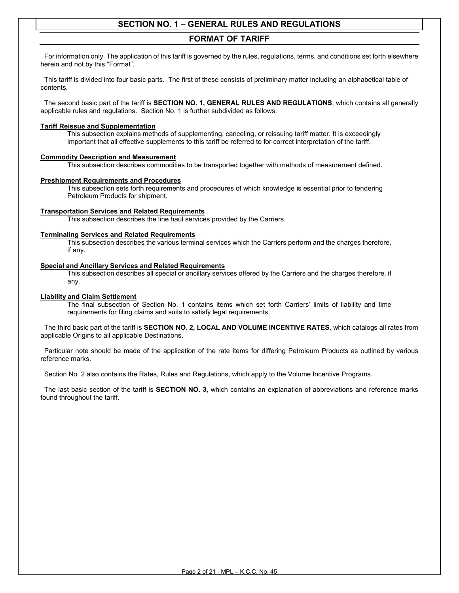### **FORMAT OF TARIFF**

 For information only. The application of this tariff is governed by the rules, regulations, terms, and conditions set forth elsewhere herein and not by this "Format".

 This tariff is divided into four basic parts. The first of these consists of preliminary matter including an alphabetical table of contents.

 The second basic part of the tariff is **SECTION NO. 1, GENERAL RULES AND REGULATIONS**, which contains all generally applicable rules and regulations. Section No. 1 is further subdivided as follows:

#### **Tariff Reissue and Supplementation**

This subsection explains methods of supplementing, canceling, or reissuing tariff matter. It is exceedingly important that all effective supplements to this tariff be referred to for correct interpretation of the tariff.

#### **Commodity Description and Measurement**

This subsection describes commodities to be transported together with methods of measurement defined.

#### **Preshipment Requirements and Procedures**

This subsection sets forth requirements and procedures of which knowledge is essential prior to tendering Petroleum Products for shipment.

#### **Transportation Services and Related Requirements**

This subsection describes the line haul services provided by the Carriers.

#### **Terminaling Services and Related Requirements**

This subsection describes the various terminal services which the Carriers perform and the charges therefore, if any.

#### **Special and Ancillary Services and Related Requirements**

This subsection describes all special or ancillary services offered by the Carriers and the charges therefore, if any.

#### **Liability and Claim Settlement**

The final subsection of Section No. 1 contains items which set forth Carriers' limits of liability and time requirements for filing claims and suits to satisfy legal requirements.

 The third basic part of the tariff is **SECTION NO. 2, LOCAL AND VOLUME INCENTIVE RATES**, which catalogs all rates from applicable Origins to all applicable Destinations.

 Particular note should be made of the application of the rate items for differing Petroleum Products as outlined by various reference marks.

Section No. 2 also contains the Rates, Rules and Regulations, which apply to the Volume Incentive Programs.

 The last basic section of the tariff is **SECTION NO. 3**, which contains an explanation of abbreviations and reference marks found throughout the tariff.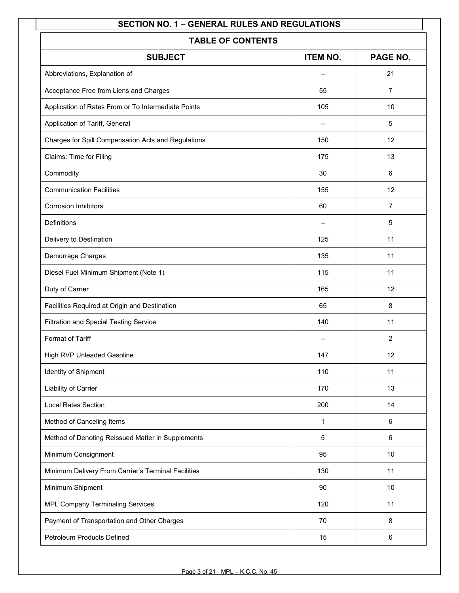| <b>TABLE OF CONTENTS</b>                            |                 |                |  |
|-----------------------------------------------------|-----------------|----------------|--|
| <b>SUBJECT</b>                                      | <b>ITEM NO.</b> | PAGE NO.       |  |
| Abbreviations, Explanation of                       | --              | 21             |  |
| Acceptance Free from Liens and Charges              | 55              | $\overline{7}$ |  |
| Application of Rates From or To Intermediate Points | 105             | 10             |  |
| Application of Tariff, General                      |                 | 5              |  |
| Charges for Spill Compensation Acts and Regulations | 150             | 12             |  |
| Claims: Time for Filing                             | 175             | 13             |  |
| Commodity                                           | 30              | 6              |  |
| <b>Communication Facilities</b>                     | 155             | 12             |  |
| <b>Corrosion Inhibitors</b>                         | 60              | $\overline{7}$ |  |
| <b>Definitions</b>                                  |                 | 5              |  |
| Delivery to Destination                             | 125             | 11             |  |
| Demurrage Charges                                   | 135             | 11             |  |
| Diesel Fuel Minimum Shipment (Note 1)               | 115             | 11             |  |
| Duty of Carrier                                     | 165             | 12             |  |
| Facilities Required at Origin and Destination       | 65              | 8              |  |
| <b>Filtration and Special Testing Service</b>       | 140             | 11             |  |
| Format of Tariff                                    |                 | $\overline{2}$ |  |
| <b>High RVP Unleaded Gasoline</b>                   | 147             | 12             |  |
| Identity of Shipment                                | 110             | 11             |  |
| Liability of Carrier                                | 170             | 13             |  |
| <b>Local Rates Section</b>                          | 200             | 14             |  |
| Method of Canceling Items                           | 1               | $\,6\,$        |  |
| Method of Denoting Reissued Matter in Supplements   | 5               | $6\phantom{1}$ |  |
| Minimum Consignment                                 | 95              | 10             |  |
| Minimum Delivery From Carrier's Terminal Facilities | 130             | 11             |  |
| Minimum Shipment                                    | 90              | 10             |  |
| MPL Company Terminaling Services                    | 120             | 11             |  |
| Payment of Transportation and Other Charges         | 70              | 8              |  |
| Petroleum Products Defined                          | 15              | $6\phantom{1}$ |  |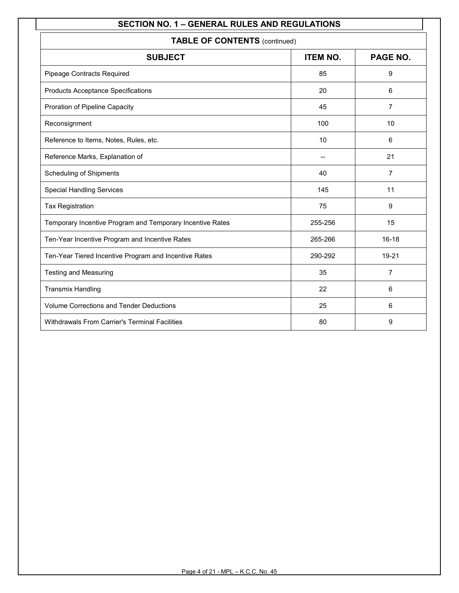| <b>TABLE OF CONTENTS (continued)</b>                      |         |                |  |  |  |
|-----------------------------------------------------------|---------|----------------|--|--|--|
| <b>ITEM NO.</b><br>PAGE NO.<br><b>SUBJECT</b>             |         |                |  |  |  |
| Pipeage Contracts Required                                | 85      | 9              |  |  |  |
| <b>Products Acceptance Specifications</b>                 | 20      | 6              |  |  |  |
| Proration of Pipeline Capacity                            | 45      | $\overline{7}$ |  |  |  |
| Reconsignment                                             | 100     | 10             |  |  |  |
| Reference to Items, Notes, Rules, etc.                    | 10      | 6              |  |  |  |
| Reference Marks, Explanation of                           |         | 21             |  |  |  |
| Scheduling of Shipments                                   | 40      | $\overline{7}$ |  |  |  |
| <b>Special Handling Services</b>                          | 145     | 11             |  |  |  |
| <b>Tax Registration</b>                                   | 75      | 9              |  |  |  |
| Temporary Incentive Program and Temporary Incentive Rates | 255-256 | 15             |  |  |  |
| Ten-Year Incentive Program and Incentive Rates            | 265-266 | $16 - 18$      |  |  |  |
| Ten-Year Tiered Incentive Program and Incentive Rates     | 290-292 | 19-21          |  |  |  |
| <b>Testing and Measuring</b>                              | 35      | $\overline{7}$ |  |  |  |
| <b>Transmix Handling</b>                                  | 22      | 6              |  |  |  |
| <b>Volume Corrections and Tender Deductions</b>           | 25      | 6              |  |  |  |
| Withdrawals From Carrier's Terminal Facilities            | 80      | 9              |  |  |  |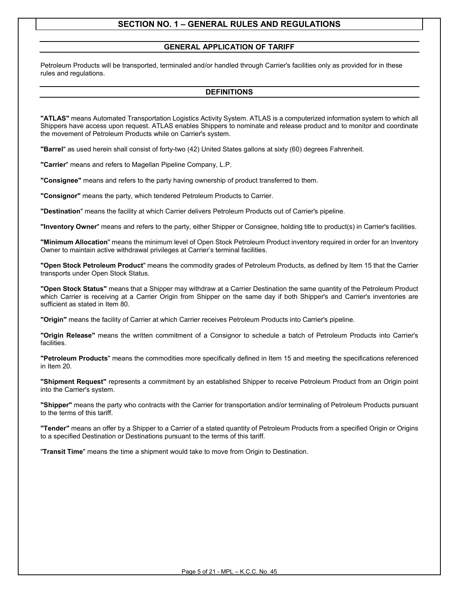#### **GENERAL APPLICATION OF TARIFF**

Petroleum Products will be transported, terminaled and/or handled through Carrier's facilities only as provided for in these rules and regulations.

#### **DEFINITIONS**

**"ATLAS"** means Automated Transportation Logistics Activity System. ATLAS is a computerized information system to which all Shippers have access upon request. ATLAS enables Shippers to nominate and release product and to monitor and coordinate the movement of Petroleum Products while on Carrier's system.

**"Barrel**" as used herein shall consist of forty-two (42) United States gallons at sixty (60) degrees Fahrenheit.

**"Carrier**" means and refers to Magellan Pipeline Company, L.P.

**"Consignee"** means and refers to the party having ownership of product transferred to them.

**"Consignor"** means the party, which tendered Petroleum Products to Carrier.

**"Destination**" means the facility at which Carrier delivers Petroleum Products out of Carrier's pipeline.

**"Inventory Owner**" means and refers to the party, either Shipper or Consignee, holding title to product(s) in Carrier's facilities.

**"Minimum Allocation**" means the minimum level of Open Stock Petroleum Product inventory required in order for an Inventory Owner to maintain active withdrawal privileges at Carrier's terminal facilities.

**"Open Stock Petroleum Product**" means the commodity grades of Petroleum Products, as defined by Item 15 that the Carrier transports under Open Stock Status.

**"Open Stock Status"** means that a Shipper may withdraw at a Carrier Destination the same quantity of the Petroleum Product which Carrier is receiving at a Carrier Origin from Shipper on the same day if both Shipper's and Carrier's inventories are sufficient as stated in Item 80.

**"Origin"** means the facility of Carrier at which Carrier receives Petroleum Products into Carrier's pipeline.

**"Origin Release"** means the written commitment of a Consignor to schedule a batch of Petroleum Products into Carrier's facilities.

**"Petroleum Products**" means the commodities more specifically defined in Item 15 and meeting the specifications referenced in Item 20.

**"Shipment Request"** represents a commitment by an established Shipper to receive Petroleum Product from an Origin point into the Carrier's system.

**"Shipper"** means the party who contracts with the Carrier for transportation and/or terminaling of Petroleum Products pursuant to the terms of this tariff.

**"Tender"** means an offer by a Shipper to a Carrier of a stated quantity of Petroleum Products from a specified Origin or Origins to a specified Destination or Destinations pursuant to the terms of this tariff.

"**Transit Time**" means the time a shipment would take to move from Origin to Destination.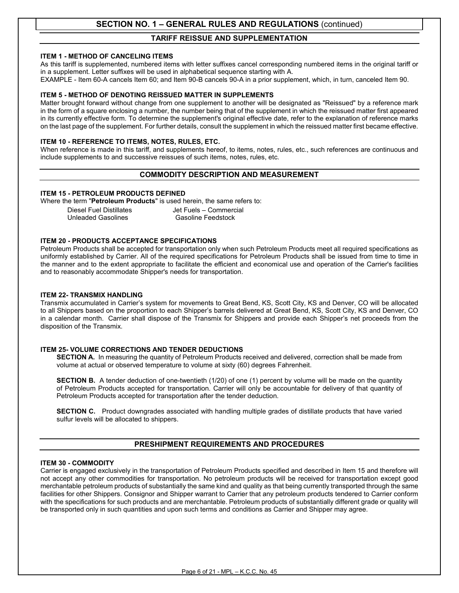#### **TARIFF REISSUE AND SUPPLEMENTATION**

#### **ITEM 1 - METHOD OF CANCELING ITEMS**

As this tariff is supplemented, numbered items with letter suffixes cancel corresponding numbered items in the original tariff or in a supplement. Letter suffixes will be used in alphabetical sequence starting with A.

EXAMPLE - Item 60-A cancels Item 60; and Item 90-B cancels 90-A in a prior supplement, which, in turn, canceled Item 90.

#### **ITEM 5 - METHOD OF DENOTING REISSUED MATTER IN SUPPLEMENTS**

Matter brought forward without change from one supplement to another will be designated as "Reissued" by a reference mark in the form of a square enclosing a number, the number being that of the supplement in which the reissued matter first appeared in its currently effective form. To determine the supplement's original effective date, refer to the explanation of reference marks on the last page of the supplement. For further details, consult the supplement in which the reissued matter first became effective.

#### **ITEM 10 - REFERENCE TO ITEMS, NOTES, RULES, ETC.**

When reference is made in this tariff, and supplements hereof, to items, notes, rules, etc., such references are continuous and include supplements to and successive reissues of such items, notes, rules, etc.

#### **COMMODITY DESCRIPTION AND MEASUREMENT**

#### **ITEM 15 - PETROLEUM PRODUCTS DEFINED**

Where the term "**Petroleum Products**" is used herein, the same refers to:

Diesel Fuel Distillates and Det Fuels – Commercial<br>Unleaded Gasolines (Julie 1980) Gasoline Feedstock Unleaded Gasolines

#### **ITEM 20 - PRODUCTS ACCEPTANCE SPECIFICATIONS**

Petroleum Products shall be accepted for transportation only when such Petroleum Products meet all required specifications as uniformly established by Carrier. All of the required specifications for Petroleum Products shall be issued from time to time in the manner and to the extent appropriate to facilitate the efficient and economical use and operation of the Carrier's facilities and to reasonably accommodate Shipper's needs for transportation.

#### **ITEM 22- TRANSMIX HANDLING**

Transmix accumulated in Carrier's system for movements to Great Bend, KS, Scott City, KS and Denver, CO will be allocated to all Shippers based on the proportion to each Shipper's barrels delivered at Great Bend, KS, Scott City, KS and Denver, CO in a calendar month. Carrier shall dispose of the Transmix for Shippers and provide each Shipper's net proceeds from the disposition of the Transmix.

#### **ITEM 25- VOLUME CORRECTIONS AND TENDER DEDUCTIONS**

**SECTION A.** In measuring the quantity of Petroleum Products received and delivered, correction shall be made from volume at actual or observed temperature to volume at sixty (60) degrees Fahrenheit.

**SECTION B.** A tender deduction of one-twentieth (1/20) of one (1) percent by volume will be made on the quantity of Petroleum Products accepted for transportation. Carrier will only be accountable for delivery of that quantity of Petroleum Products accepted for transportation after the tender deduction.

**SECTION C.** Product downgrades associated with handling multiple grades of distillate products that have varied sulfur levels will be allocated to shippers.

#### **PRESHIPMENT REQUIREMENTS AND PROCEDURES**

#### **ITEM 30 - COMMODITY**

Carrier is engaged exclusively in the transportation of Petroleum Products specified and described in Item 15 and therefore will not accept any other commodities for transportation. No petroleum products will be received for transportation except good merchantable petroleum products of substantially the same kind and quality as that being currently transported through the same facilities for other Shippers. Consignor and Shipper warrant to Carrier that any petroleum products tendered to Carrier conform with the specifications for such products and are merchantable. Petroleum products of substantially different grade or quality will be transported only in such quantities and upon such terms and conditions as Carrier and Shipper may agree.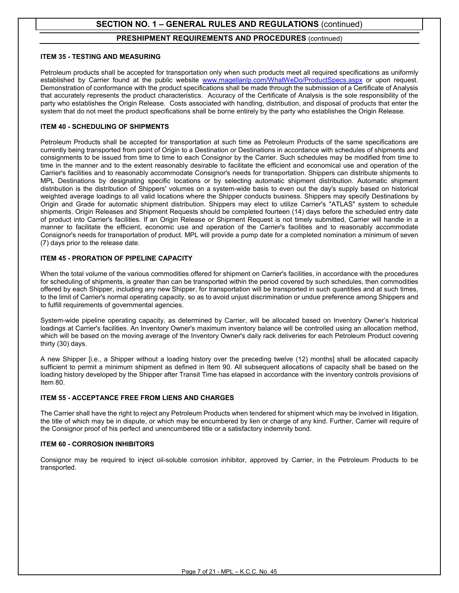#### **PRESHIPMENT REQUIREMENTS AND PROCEDURES** (continued)

#### **ITEM 35 - TESTING AND MEASURING**

Petroleum products shall be accepted for transportation only when such products meet all required specifications as uniformly established by Carrier found at the public website [www.magellanlp.com/WhatWeDo/ProductSpecs.aspx](http://www.magellanlp.com/WhatWeDo/ProductSpecs.aspx) or upon request. Demonstration of conformance with the product specifications shall be made through the submission of a Certificate of Analysis that accurately represents the product characteristics. Accuracy of the Certificate of Analysis is the sole responsibility of the party who establishes the Origin Release. Costs associated with handling, distribution, and disposal of products that enter the system that do not meet the product specifications shall be borne entirely by the party who establishes the Origin Release.

#### **ITEM 40 - SCHEDULING OF SHIPMENTS**

Petroleum Products shall be accepted for transportation at such time as Petroleum Products of the same specifications are currently being transported from point of Origin to a Destination or Destinations in accordance with schedules of shipments and consignments to be issued from time to time to each Consignor by the Carrier. Such schedules may be modified from time to time in the manner and to the extent reasonably desirable to facilitate the efficient and economical use and operation of the Carrier's facilities and to reasonably accommodate Consignor's needs for transportation. Shippers can distribute shipments to MPL Destinations by designating specific locations or by selecting automatic shipment distribution. Automatic shipment distribution is the distribution of Shippers' volumes on a system-wide basis to even out the day's supply based on historical weighted average loadings to all valid locations where the Shipper conducts business. Shippers may specify Destinations by Origin and Grade for automatic shipment distribution. Shippers may elect to utilize Carrier's "ATLAS" system to schedule shipments. Origin Releases and Shipment Requests should be completed fourteen (14) days before the scheduled entry date of product into Carrier's facilities. If an Origin Release or Shipment Request is not timely submitted, Carrier will handle in a manner to facilitate the efficient, economic use and operation of the Carrier's facilities and to reasonably accommodate Consignor's needs for transportation of product. MPL will provide a pump date for a completed nomination a minimum of seven (7) days prior to the release date.

#### **ITEM 45 - PRORATION OF PIPELINE CAPACITY**

When the total volume of the various commodities offered for shipment on Carrier's facilities, in accordance with the procedures for scheduling of shipments, is greater than can be transported within the period covered by such schedules, then commodities offered by each Shipper, including any new Shipper, for transportation will be transported in such quantities and at such times, to the limit of Carrier's normal operating capacity, so as to avoid unjust discrimination or undue preference among Shippers and to fulfill requirements of governmental agencies.

System-wide pipeline operating capacity, as determined by Carrier, will be allocated based on Inventory Owner's historical loadings at Carrier's facilities. An Inventory Owner's maximum inventory balance will be controlled using an allocation method, which will be based on the moving average of the Inventory Owner's daily rack deliveries for each Petroleum Product covering thirty (30) days.

A new Shipper [i.e., a Shipper without a loading history over the preceding twelve (12) months] shall be allocated capacity sufficient to permit a minimum shipment as defined in Item 90. All subsequent allocations of capacity shall be based on the loading history developed by the Shipper after Transit Time has elapsed in accordance with the inventory controls provisions of Item 80.

#### **ITEM 55 - ACCEPTANCE FREE FROM LIENS AND CHARGES**

The Carrier shall have the right to reject any Petroleum Products when tendered for shipment which may be involved in litigation, the title of which may be in dispute, or which may be encumbered by lien or charge of any kind. Further, Carrier will require of the Consignor proof of his perfect and unencumbered title or a satisfactory indemnity bond.

#### **ITEM 60 - CORROSION INHIBITORS**

Consignor may be required to inject oil-soluble corrosion inhibitor, approved by Carrier, in the Petroleum Products to be transported.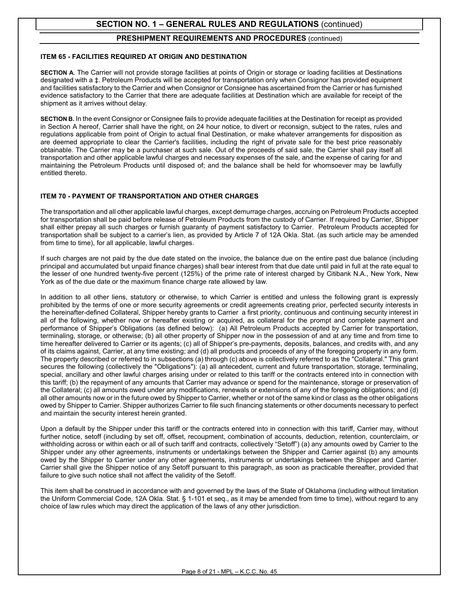#### **PRESHIPMENT REQUIREMENTS AND PROCEDURES** (continued)

#### **ITEM 65 - FACILITIES REQUIRED AT ORIGIN AND DESTINATION**

**SECTION A**. The Carrier will not provide storage facilities at points of Origin or storage or loading facilities at Destinations designated with a ‡. Petroleum Products will be accepted for transportation only when Consignor has provided equipment and facilities satisfactory to the Carrier and when Consignor or Consignee has ascertained from the Carrier or has furnished evidence satisfactory to the Carrier that there are adequate facilities at Destination which are available for receipt of the shipment as it arrives without delay.

**SECTION B.** In the event Consignor or Consignee fails to provide adequate facilities at the Destination for receipt as provided in Section A hereof, Carrier shall have the right, on 24 hour notice, to divert or reconsign, subject to the rates, rules and regulations applicable from point of Origin to actual final Destination, or make whatever arrangements for disposition as are deemed appropriate to clear the Carrier's facilities, including the right of private sale for the best price reasonably obtainable. The Carrier may be a purchaser at such sale. Out of the proceeds of said sale, the Carrier shall pay itself all transportation and other applicable lawful charges and necessary expenses of the sale, and the expense of caring for and maintaining the Petroleum Products until disposed of; and the balance shall be held for whomsoever may be lawfully entitled thereto.

#### **ITEM 70 - PAYMENT OF TRANSPORTATION AND OTHER CHARGES**

The transportation and all other applicable lawful charges, except demurrage charges, accruing on Petroleum Products accepted for transportation shall be paid before release of Petroleum Products from the custody of Carrier. If required by Carrier, Shipper shall either prepay all such charges or furnish guaranty of payment satisfactory to Carrier. Petroleum Products accepted for transportation shall be subject to a carrier's lien, as provided by Article 7 of 12A Okla. Stat. (as such article may be amended from time to time), for all applicable, lawful charges.

If such charges are not paid by the due date stated on the invoice, the balance due on the entire past due balance (including principal and accumulated but unpaid finance charges) shall bear interest from that due date until paid in full at the rate equal to the lesser of one hundred twenty-five percent (125%) of the prime rate of interest charged by Citibank N.A., New York, New York as of the due date or the maximum finance charge rate allowed by law.

In addition to all other liens, statutory or otherwise, to which Carrier is entitled and unless the following grant is expressly prohibited by the terms of one or more security agreements or credit agreements creating prior, perfected security interests in the hereinafter-defined Collateral, Shipper hereby grants to Carrier a first priority, continuous and continuing security interest in all of the following, whether now or hereafter existing or acquired, as collateral for the prompt and complete payment and performance of Shipper's Obligations (as defined below): (a) All Petroleum Products accepted by Carrier for transportation, terminaling, storage, or otherwise; (b) all other property of Shipper now in the possession of and at any time and from time to time hereafter delivered to Carrier or its agents; (c) all of Shipper's pre-payments, deposits, balances, and credits with, and any of its claims against, Carrier, at any time existing; and (d) all products and proceeds of any of the foregoing property in any form. The property described or referred to in subsections (a) through (c) above is collectively referred to as the "Collateral." This grant secures the following (collectively the "Obligations"): (a) all antecedent, current and future transportation, storage, terminaling, special, ancillary and other lawful charges arising under or related to this tariff or the contracts entered into in connection with this tariff; (b) the repayment of any amounts that Carrier may advance or spend for the maintenance, storage or preservation of the Collateral; (c) all amounts owed under any modifications, renewals or extensions of any of the foregoing obligations; and (d) all other amounts now or in the future owed by Shipper to Carrier, whether or not of the same kind or class as the other obligations owed by Shipper to Carrier. Shipper authorizes Carrier to file such financing statements or other documents necessary to perfect and maintain the security interest herein granted.

Upon a default by the Shipper under this tariff or the contracts entered into in connection with this tariff, Carrier may, without further notice, setoff (including by set off, offset, recoupment, combination of accounts, deduction, retention, counterclaim, or withholding across or within each or all of such tariff and contracts, collectively "Setoff") (a) any amounts owed by Carrier to the Shipper under any other agreements, instruments or undertakings between the Shipper and Carrier against (b) any amounts owed by the Shipper to Carrier under any other agreements, instruments or undertakings between the Shipper and Carrier. Carrier shall give the Shipper notice of any Setoff pursuant to this paragraph, as soon as practicable thereafter, provided that failure to give such notice shall not affect the validity of the Setoff.

This item shall be construed in accordance with and governed by the laws of the State of Oklahoma (including without limitation the Uniform Commercial Code, 12A Okla. Stat. § 1-101 et seq., as it may be amended from time to time), without regard to any choice of law rules which may direct the application of the laws of any other jurisdiction.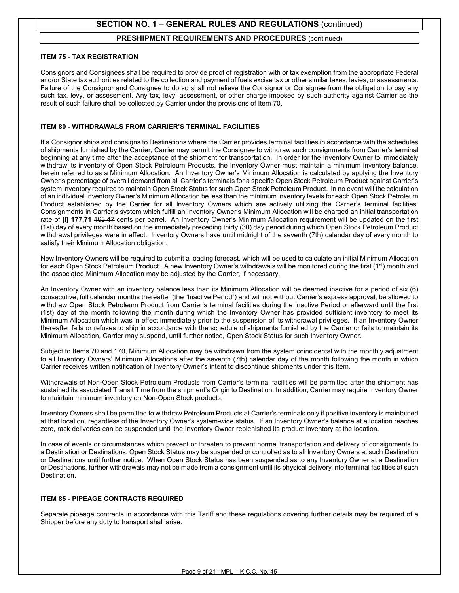#### **PRESHIPMENT REQUIREMENTS AND PROCEDURES** (continued)

#### **ITEM 75 - TAX REGISTRATION**

Consignors and Consignees shall be required to provide proof of registration with or tax exemption from the appropriate Federal and/or State tax authorities related to the collection and payment of fuels excise tax or other similar taxes, levies, or assessments. Failure of the Consignor and Consignee to do so shall not relieve the Consignor or Consignee from the obligation to pay any such tax, levy, or assessment. Any tax, levy, assessment, or other charge imposed by such authority against Carrier as the result of such failure shall be collected by Carrier under the provisions of Item 70.

#### **ITEM 80 - WITHDRAWALS FROM CARRIER'S TERMINAL FACILITIES**

If a Consignor ships and consigns to Destinations where the Carrier provides terminal facilities in accordance with the schedules of shipments furnished by the Carrier, Carrier may permit the Consignee to withdraw such consignments from Carrier's terminal beginning at any time after the acceptance of the shipment for transportation. In order for the Inventory Owner to immediately withdraw its inventory of Open Stock Petroleum Products, the Inventory Owner must maintain a minimum inventory balance, herein referred to as a Minimum Allocation. An Inventory Owner's Minimum Allocation is calculated by applying the Inventory Owner's percentage of overall demand from all Carrier's terminals for a specific Open Stock Petroleum Product against Carrier's system inventory required to maintain Open Stock Status for such Open Stock Petroleum Product. In no event will the calculation of an individual Inventory Owner's Minimum Allocation be less than the minimum inventory levels for each Open Stock Petroleum Product established by the Carrier for all Inventory Owners which are actively utilizing the Carrier's terminal facilities. Consignments in Carrier's system which fulfill an Inventory Owner's Minimum Allocation will be charged an initial transportation rate of **[I] 177.71** 163.47 cents per barrel. An Inventory Owner's Minimum Allocation requirement will be updated on the first (1st) day of every month based on the immediately preceding thirty (30) day period during which Open Stock Petroleum Product withdrawal privileges were in effect. Inventory Owners have until midnight of the seventh (7th) calendar day of every month to satisfy their Minimum Allocation obligation.

New Inventory Owners will be required to submit a loading forecast, which will be used to calculate an initial Minimum Allocation for each Open Stock Petroleum Product. A new Inventory Owner's withdrawals will be monitored during the first  $(1<sup>st</sup>)$  month and the associated Minimum Allocation may be adjusted by the Carrier, if necessary.

An Inventory Owner with an inventory balance less than its Minimum Allocation will be deemed inactive for a period of six (6) consecutive, full calendar months thereafter (the "Inactive Period") and will not without Carrier's express approval, be allowed to withdraw Open Stock Petroleum Product from Carrier's terminal facilities during the Inactive Period or afterward until the first (1st) day of the month following the month during which the Inventory Owner has provided sufficient inventory to meet its Minimum Allocation which was in effect immediately prior to the suspension of its withdrawal privileges. If an Inventory Owner thereafter fails or refuses to ship in accordance with the schedule of shipments furnished by the Carrier or fails to maintain its Minimum Allocation, Carrier may suspend, until further notice, Open Stock Status for such Inventory Owner.

Subject to Items 70 and 170, Minimum Allocation may be withdrawn from the system coincidental with the monthly adjustment to all Inventory Owners' Minimum Allocations after the seventh (7th) calendar day of the month following the month in which Carrier receives written notification of Inventory Owner's intent to discontinue shipments under this Item.

Withdrawals of Non-Open Stock Petroleum Products from Carrier's terminal facilities will be permitted after the shipment has sustained its associated Transit Time from the shipment's Origin to Destination. In addition, Carrier may require Inventory Owner to maintain minimum inventory on Non-Open Stock products.

Inventory Owners shall be permitted to withdraw Petroleum Products at Carrier's terminals only if positive inventory is maintained at that location, regardless of the Inventory Owner's system-wide status. If an Inventory Owner's balance at a location reaches zero, rack deliveries can be suspended until the Inventory Owner replenished its product inventory at the location.

In case of events or circumstances which prevent or threaten to prevent normal transportation and delivery of consignments to a Destination or Destinations, Open Stock Status may be suspended or controlled as to all Inventory Owners at such Destination or Destinations until further notice. When Open Stock Status has been suspended as to any Inventory Owner at a Destination or Destinations, further withdrawals may not be made from a consignment until its physical delivery into terminal facilities at such Destination.

#### **ITEM 85 - PIPEAGE CONTRACTS REQUIRED**

Separate pipeage contracts in accordance with this Tariff and these regulations covering further details may be required of a Shipper before any duty to transport shall arise.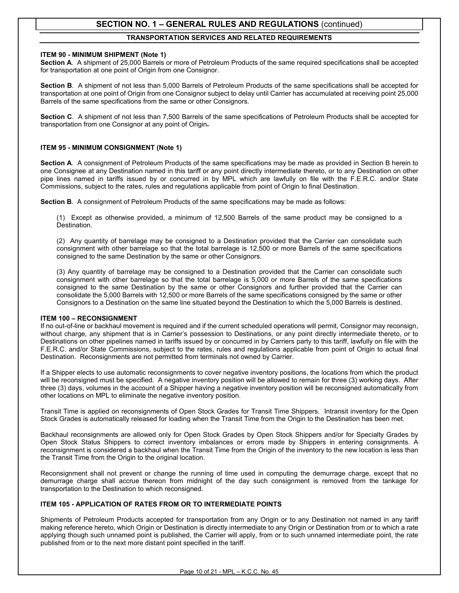#### **TRANSPORTATION SERVICES AND RELATED REQUIREMENTS**

#### **ITEM 90 - MINIMUM SHIPMENT (Note 1)**

**Section A**. A shipment of 25,000 Barrels or more of Petroleum Products of the same required specifications shall be accepted for transportation at one point of Origin from one Consignor.

**Section B**. A shipment of not less than 5,000 Barrels of Petroleum Products of the same specifications shall be accepted for transportation at one point of Origin from one Consignor subject to delay until Carrier has accumulated at receiving point 25,000 Barrels of the same specifications from the same or other Consignors.

**Section C**. A shipment of not less than 7,500 Barrels of the same specifications of Petroleum Products shall be accepted for transportation from one Consignor at any point of Origin.

#### **ITEM 95 - MINIMUM CONSIGNMENT (Note 1)**

**Section A**. A consignment of Petroleum Products of the same specifications may be made as provided in Section B herein to one Consignee at any Destination named in this tariff or any point directly intermediate thereto, or to any Destination on other pipe lines named in tariffs issued by or concurred in by MPL which are lawfully on file with the F.E.R.C. and/or State Commissions, subject to the rates, rules and regulations applicable from point of Origin to final Destination.

**Section B**.A consignment of Petroleum Products of the same specifications may be made as follows:

(1) Except as otherwise provided, a minimum of 12,500 Barrels of the same product may be consigned to a Destination.

(2) Any quantity of barrelage may be consigned to a Destination provided that the Carrier can consolidate such consignment with other barrelage so that the total barrelage is 12,500 or more Barrels of the same specifications consigned to the same Destination by the same or other Consignors.

(3) Any quantity of barrelage may be consigned to a Destination provided that the Carrier can consolidate such consignment with other barrelage so that the total barrelage is 5,000 or more Barrels of the same specifications consigned to the same Destination by the same or other Consignors and further provided that the Carrier can consolidate the 5,000 Barrels with 12,500 or more Barrels of the same specifications consigned by the same or other Consignors to a Destination on the same line situated beyond the Destination to which the 5,000 Barrels is destined.

#### **ITEM 100 – RECONSIGNMENT**

If no out-of-line or backhaul movement is required and if the current scheduled operations will permit, Consignor may reconsign, without charge, any shipment that is in Carrier's possession to Destinations, or any point directly intermediate thereto, or to Destinations on other pipelines named in tariffs issued by or concurred in by Carriers party to this tariff, lawfully on file with the F.E.R.C. and/or State Commissions, subject to the rates, rules and regulations applicable from point of Origin to actual final Destination. Reconsignments are not permitted from terminals not owned by Carrier.

If a Shipper elects to use automatic reconsignments to cover negative inventory positions, the locations from which the product will be reconsigned must be specified. A negative inventory position will be allowed to remain for three (3) working days. After three (3) days, volumes in the account of a Shipper having a negative inventory position will be reconsigned automatically from other locations on MPL to eliminate the negative inventory position.

Transit Time is applied on reconsignments of Open Stock Grades for Transit Time Shippers. Intransit inventory for the Open Stock Grades is automatically released for loading when the Transit Time from the Origin to the Destination has been met.

Backhaul reconsignments are allowed only for Open Stock Grades by Open Stock Shippers and/or for Specialty Grades by Open Stock Status Shippers to correct inventory imbalances or errors made by Shippers in entering consignments. A reconsignment is considered a backhaul when the Transit Time from the Origin of the inventory to the new location is less than the Transit Time from the Origin to the original location.

Reconsignment shall not prevent or change the running of time used in computing the demurrage charge, except that no demurrage charge shall accrue thereon from midnight of the day such consignment is removed from the tankage for transportation to the Destination to which reconsigned.

#### **ITEM 105 - APPLICATION OF RATES FROM OR TO INTERMEDIATE POINTS**

Shipments of Petroleum Products accepted for transportation from any Origin or to any Destination not named in any tariff making reference hereto, which Origin or Destination is directly intermediate to any Origin or Destination from or to which a rate applying though such unnamed point is published, the Carrier will apply, from or to such unnamed intermediate point, the rate published from or to the next more distant point specified in the tariff.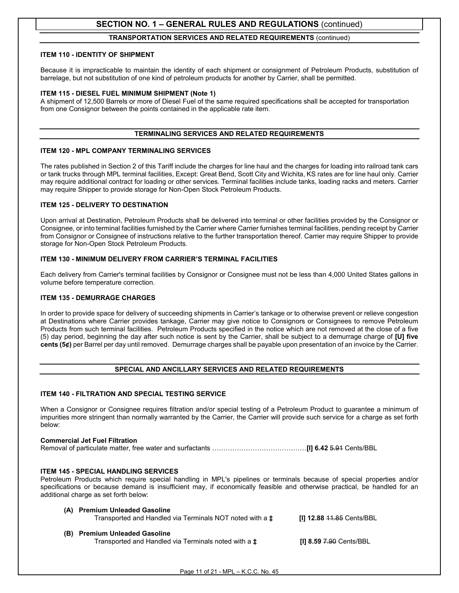#### **TRANSPORTATION SERVICES AND RELATED REQUIREMENTS** (continued)

#### **ITEM 110 - IDENTITY OF SHIPMENT**

Because it is impracticable to maintain the identity of each shipment or consignment of Petroleum Products, substitution of barrelage, but not substitution of one kind of petroleum products for another by Carrier, shall be permitted.

#### **ITEM 115 - DIESEL FUEL MINIMUM SHIPMENT (Note 1)**

A shipment of 12,500 Barrels or more of Diesel Fuel of the same required specifications shall be accepted for transportation from one Consignor between the points contained in the applicable rate item.

#### **TERMINALING SERVICES AND RELATED REQUIREMENTS**

#### **ITEM 120 - MPL COMPANY TERMINALING SERVICES**

The rates published in Section 2 of this Tariff include the charges for line haul and the charges for loading into railroad tank cars or tank trucks through MPL terminal facilities, Except: Great Bend, Scott City and Wichita, KS rates are for line haul only. Carrier may require additional contract for loading or other services. Terminal facilities include tanks, loading racks and meters. Carrier may require Shipper to provide storage for Non-Open Stock Petroleum Products.

#### **ITEM 125 - DELIVERY TO DESTINATION**

Upon arrival at Destination, Petroleum Products shall be delivered into terminal or other facilities provided by the Consignor or Consignee, or into terminal facilities furnished by the Carrier where Carrier furnishes terminal facilities, pending receipt by Carrier from Consignor or Consignee of instructions relative to the further transportation thereof. Carrier may require Shipper to provide storage for Non-Open Stock Petroleum Products.

#### **ITEM 130 - MINIMUM DELIVERY FROM CARRIER'S TERMINAL FACILITIES**

Each delivery from Carrier's terminal facilities by Consignor or Consignee must not be less than 4,000 United States gallons in volume before temperature correction.

#### **ITEM 135 - DEMURRAGE CHARGES**

In order to provide space for delivery of succeeding shipments in Carrier's tankage or to otherwise prevent or relieve congestion at Destinations where Carrier provides tankage, Carrier may give notice to Consignors or Consignees to remove Petroleum Products from such terminal facilities. Petroleum Products specified in the notice which are not removed at the close of a five (5) day period, beginning the day after such notice is sent by the Carrier, shall be subject to a demurrage charge of **[U] five cents (5¢)** per Barrel per day until removed. Demurrage charges shall be payable upon presentation of an invoice by the Carrier.

#### **SPECIAL AND ANCILLARY SERVICES AND RELATED REQUIREMENTS**

#### **ITEM 140 - FILTRATION AND SPECIAL TESTING SERVICE**

When a Consignor or Consignee requires filtration and/or special testing of a Petroleum Product to guarantee a minimum of impurities more stringent than normally warranted by the Carrier, the Carrier will provide such service for a charge as set forth below:

# **Commercial Jet Fuel Filtration**

# Removal of particulate matter, free water and surfactants ……………………………………**[I] 6.42** 5.91 Cents/BBL

#### **ITEM 145 - SPECIAL HANDLING SERVICES**

Petroleum Products which require special handling in MPL's pipelines or terminals because of special properties and/or specifications or because demand is insufficient may, if economically feasible and otherwise practical, be handled for an additional charge as set forth below:

| (A) Premium Unleaded Gasoline<br>Transported and Handled via Terminals NOT noted with a <b>±</b> | [I] 12.88 11.85 Cents/BBL      |
|--------------------------------------------------------------------------------------------------|--------------------------------|
| (B) Premium Unleaded Gasoline<br>Transported and Handled via Terminals noted with a $\ddagger$   | <b>III 8.59 7.90 Cents/BBL</b> |

Page 11 of 21 - MPL - K.C.C. No. 45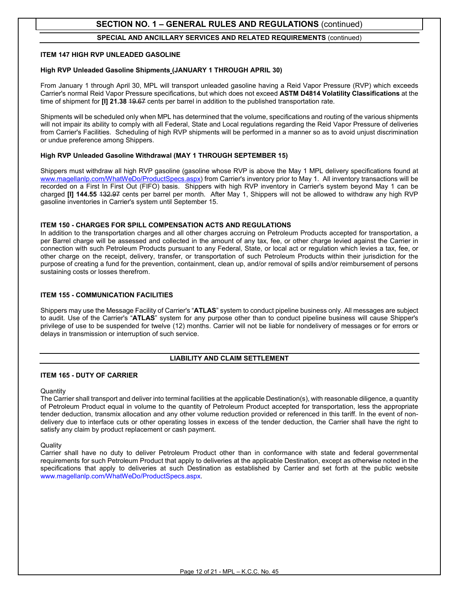#### **SPECIAL AND ANCILLARY SERVICES AND RELATED REQUIREMENTS** (continued)

#### **ITEM 147 HIGH RVP UNLEADED GASOLINE**

#### **High RVP Unleaded Gasoline Shipments (JANUARY 1 THROUGH APRIL 30)**

From January 1 through April 30, MPL will transport unleaded gasoline having a Reid Vapor Pressure (RVP) which exceeds Carrier's normal Reid Vapor Pressure specifications, but which does not exceed **ASTM D4814 Volatility Classifications** at the time of shipment for **[I] 21.38** 19.67 cents per barrel in addition to the published transportation rate.

Shipments will be scheduled only when MPL has determined that the volume, specifications and routing of the various shipments will not impair its ability to comply with all Federal, State and Local regulations regarding the Reid Vapor Pressure of deliveries from Carrier's Facilities. Scheduling of high RVP shipments will be performed in a manner so as to avoid unjust discrimination or undue preference among Shippers.

#### **High RVP Unleaded Gasoline Withdrawal (MAY 1 THROUGH SEPTEMBER 15)**

Shippers must withdraw all high RVP gasoline (gasoline whose RVP is above the May 1 MPL delivery specifications found at [www.magellanlp.com/WhatWeDo/ProductSpecs.aspx\)](http://www.magellanlp.com/WhatWeDo/ProductSpecs.aspx) from Carrier's inventory prior to May 1. All inventory transactions will be recorded on a First In First Out (FIFO) basis. Shippers with high RVP inventory in Carrier's system beyond May 1 can be charged **[I] 144.55** 132.97 cents per barrel per month. After May 1, Shippers will not be allowed to withdraw any high RVP gasoline inventories in Carrier's system until September 15.

#### **ITEM 150 - CHARGES FOR SPILL COMPENSATION ACTS AND REGULATIONS**

In addition to the transportation charges and all other charges accruing on Petroleum Products accepted for transportation, a per Barrel charge will be assessed and collected in the amount of any tax, fee, or other charge levied against the Carrier in connection with such Petroleum Products pursuant to any Federal, State, or local act or regulation which levies a tax, fee, or other charge on the receipt, delivery, transfer, or transportation of such Petroleum Products within their jurisdiction for the purpose of creating a fund for the prevention, containment, clean up, and/or removal of spills and/or reimbursement of persons sustaining costs or losses therefrom.

#### **ITEM 155 - COMMUNICATION FACILITIES**

Shippers may use the Message Facility of Carrier's "**ATLAS**" system to conduct pipeline business only. All messages are subject to audit. Use of the Carrier's "**ATLAS**" system for any purpose other than to conduct pipeline business will cause Shipper's privilege of use to be suspended for twelve (12) months. Carrier will not be liable for nondelivery of messages or for errors or delays in transmission or interruption of such service.

#### **LIABILITY AND CLAIM SETTLEMENT**

#### **ITEM 165 - DUTY OF CARRIER**

#### **Quantity**

The Carrier shall transport and deliver into terminal facilities at the applicable Destination(s), with reasonable diligence, a quantity of Petroleum Product equal in volume to the quantity of Petroleum Product accepted for transportation, less the appropriate tender deduction, transmix allocation and any other volume reduction provided or referenced in this tariff. In the event of nondelivery due to interface cuts or other operating losses in excess of the tender deduction, the Carrier shall have the right to satisfy any claim by product replacement or cash payment.

#### **Quality**

Carrier shall have no duty to deliver Petroleum Product other than in conformance with state and federal governmental requirements for such Petroleum Product that apply to deliveries at the applicable Destination, except as otherwise noted in the specifications that apply to deliveries at such Destination as established by Carrier and set forth at the public website [www.magellanlp.com/WhatWeDo/ProductSpecs.aspx.](http://www.magellanlp.com/WhatWeDo/ProductSpecs.aspx)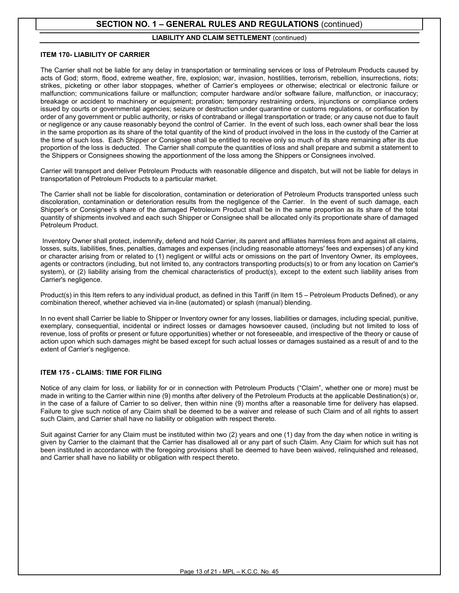#### **LIABILITY AND CLAIM SETTLEMENT** (continued)

#### **ITEM 170- LIABILITY OF CARRIER**

The Carrier shall not be liable for any delay in transportation or terminaling services or loss of Petroleum Products caused by acts of God; storm, flood, extreme weather, fire, explosion; war, invasion, hostilities, terrorism, rebellion, insurrections, riots; strikes, picketing or other labor stoppages, whether of Carrier's employees or otherwise; electrical or electronic failure or malfunction; communications failure or malfunction; computer hardware and/or software failure, malfunction, or inaccuracy; breakage or accident to machinery or equipment; proration; temporary restraining orders, injunctions or compliance orders issued by courts or governmental agencies; seizure or destruction under quarantine or customs regulations, or confiscation by order of any government or public authority, or risks of contraband or illegal transportation or trade; or any cause not due to fault or negligence or any cause reasonably beyond the control of Carrier. In the event of such loss, each owner shall bear the loss in the same proportion as its share of the total quantity of the kind of product involved in the loss in the custody of the Carrier at the time of such loss. Each Shipper or Consignee shall be entitled to receive only so much of its share remaining after its due proportion of the loss is deducted. The Carrier shall compute the quantities of loss and shall prepare and submit a statement to the Shippers or Consignees showing the apportionment of the loss among the Shippers or Consignees involved.

Carrier will transport and deliver Petroleum Products with reasonable diligence and dispatch, but will not be liable for delays in transportation of Petroleum Products to a particular market.

The Carrier shall not be liable for discoloration, contamination or deterioration of Petroleum Products transported unless such discoloration, contamination or deterioration results from the negligence of the Carrier. In the event of such damage, each Shipper's or Consignee's share of the damaged Petroleum Product shall be in the same proportion as its share of the total quantity of shipments involved and each such Shipper or Consignee shall be allocated only its proportionate share of damaged Petroleum Product.

Inventory Owner shall protect, indemnify, defend and hold Carrier, its parent and affiliates harmless from and against all claims, losses, suits, liabilities, fines, penalties, damages and expenses (including reasonable attorneys' fees and expenses) of any kind or character arising from or related to (1) negligent or willful acts or omissions on the part of Inventory Owner, its employees, agents or contractors (including, but not limited to, any contractors transporting products(s) to or from any location on Carrier's system), or (2) liability arising from the chemical characteristics of product(s), except to the extent such liability arises from Carrier's negligence.

Product(s) in this Item refers to any individual product, as defined in this Tariff (in Item 15 – Petroleum Products Defined), or any combination thereof, whether achieved via in-line (automated) or splash (manual) blending.

In no event shall Carrier be liable to Shipper or Inventory owner for any losses, liabilities or damages, including special, punitive, exemplary, consequential, incidental or indirect losses or damages howsoever caused, (including but not limited to loss of revenue, loss of profits or present or future opportunities) whether or not foreseeable, and irrespective of the theory or cause of action upon which such damages might be based except for such actual losses or damages sustained as a result of and to the extent of Carrier's negligence.

#### **ITEM 175 - CLAIMS: TIME FOR FILING**

Notice of any claim for loss, or liability for or in connection with Petroleum Products ("Claim", whether one or more) must be made in writing to the Carrier within nine (9) months after delivery of the Petroleum Products at the applicable Destination(s) or, in the case of a failure of Carrier to so deliver, then within nine (9) months after a reasonable time for delivery has elapsed. Failure to give such notice of any Claim shall be deemed to be a waiver and release of such Claim and of all rights to assert such Claim, and Carrier shall have no liability or obligation with respect thereto.

Suit against Carrier for any Claim must be instituted within two (2) years and one (1) day from the day when notice in writing is given by Carrier to the claimant that the Carrier has disallowed all or any part of such Claim. Any Claim for which suit has not been instituted in accordance with the foregoing provisions shall be deemed to have been waived, relinquished and released, and Carrier shall have no liability or obligation with respect thereto.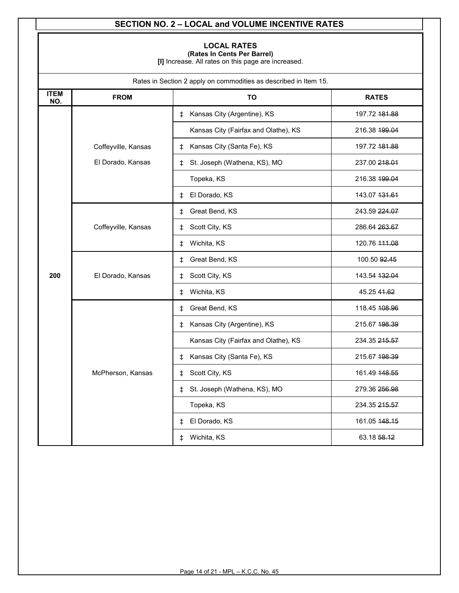## **SECTION NO. 2 – LOCAL and VOLUME INCENTIVE RATES**

### **LOCAL RATES**

**(Rates In Cents Per Barrel)**

**[I]** Increase. All rates on this page are increased.

|                    | Rates in Section 2 apply on commodities as described in Item 15. |                                      |               |  |  |  |
|--------------------|------------------------------------------------------------------|--------------------------------------|---------------|--|--|--|
| <b>ITEM</b><br>NO. | <b>FROM</b>                                                      | <b>TO</b>                            | <b>RATES</b>  |  |  |  |
|                    |                                                                  | Kansas City (Argentine), KS<br>ŧ.    | 197.72 181.88 |  |  |  |
|                    |                                                                  | Kansas City (Fairfax and Olathe), KS | 216.38 199.04 |  |  |  |
|                    | Coffeyville, Kansas                                              | Kansas City (Santa Fe), KS<br>ŧ      | 197.72 181.88 |  |  |  |
|                    | El Dorado, Kansas                                                | St. Joseph (Wathena, KS), MO<br>ŧ    | 237.00 218.01 |  |  |  |
|                    |                                                                  | Topeka, KS                           | 216.38 199.04 |  |  |  |
|                    |                                                                  | El Dorado, KS<br>ŧ                   | 143.07 131.61 |  |  |  |
|                    |                                                                  | Great Bend, KS<br>‡.                 | 243.59 224.07 |  |  |  |
|                    | Coffeyville, Kansas                                              | Scott City, KS<br>‡.                 | 286.64 263.67 |  |  |  |
|                    |                                                                  | Wichita, KS<br>ŧ                     | 120.76 444.08 |  |  |  |
| 200                |                                                                  | Great Bend, KS<br>ŧ                  | 100.50 92.45  |  |  |  |
|                    | El Dorado, Kansas                                                | Scott City, KS<br>ŧ                  | 143.54 132.04 |  |  |  |
|                    |                                                                  | Wichita, KS<br>‡.                    | 45.25 41.62   |  |  |  |
|                    |                                                                  | Great Bend, KS<br>ŧ                  | 118.45 108.96 |  |  |  |
|                    |                                                                  | Kansas City (Argentine), KS<br>‡.    | 215.67 198.39 |  |  |  |
|                    | Kansas City (Fairfax and Olathe), KS                             | 234.35 215.57                        |               |  |  |  |
|                    |                                                                  | Kansas City (Santa Fe), KS<br>‡.     | 215.67 198.39 |  |  |  |
|                    | McPherson, Kansas                                                | Scott City, KS<br>‡.                 | 161.49 148.55 |  |  |  |
|                    |                                                                  | St. Joseph (Wathena, KS), MO<br>‡.   | 279.36 256.98 |  |  |  |
|                    |                                                                  | Topeka, KS                           | 234.35 245.57 |  |  |  |
|                    |                                                                  | El Dorado, KS<br>⇟                   | 161.05 148.15 |  |  |  |
|                    |                                                                  | Wichita, KS<br>ŧ                     | 63.18 58.12   |  |  |  |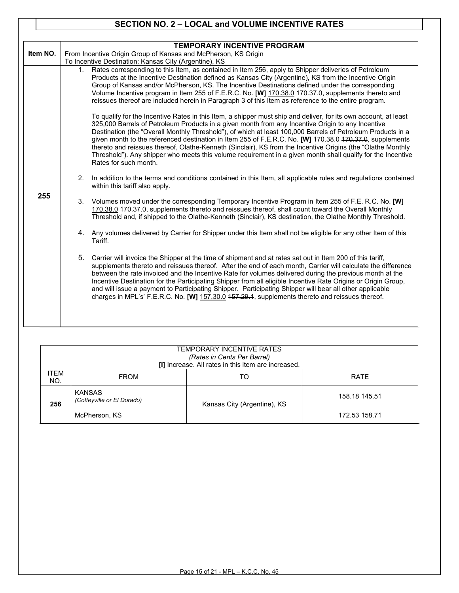# **SECTION NO. 2 – LOCAL and VOLUME INCENTIVE RATES**

|          |                                                       | <b>TEMPORARY INCENTIVE PROGRAM</b>                                                                                                                                                                                                                                                                                                                                                                                                                                                                                                                                                                                                                                                                                                                                                                                                                                                                                                                                                                                                                                                                                                                                                                                                             |  |  |  |
|----------|-------------------------------------------------------|------------------------------------------------------------------------------------------------------------------------------------------------------------------------------------------------------------------------------------------------------------------------------------------------------------------------------------------------------------------------------------------------------------------------------------------------------------------------------------------------------------------------------------------------------------------------------------------------------------------------------------------------------------------------------------------------------------------------------------------------------------------------------------------------------------------------------------------------------------------------------------------------------------------------------------------------------------------------------------------------------------------------------------------------------------------------------------------------------------------------------------------------------------------------------------------------------------------------------------------------|--|--|--|
| Item NO. |                                                       | From Incentive Origin Group of Kansas and McPherson, KS Origin                                                                                                                                                                                                                                                                                                                                                                                                                                                                                                                                                                                                                                                                                                                                                                                                                                                                                                                                                                                                                                                                                                                                                                                 |  |  |  |
|          | To Incentive Destination: Kansas City (Argentine), KS |                                                                                                                                                                                                                                                                                                                                                                                                                                                                                                                                                                                                                                                                                                                                                                                                                                                                                                                                                                                                                                                                                                                                                                                                                                                |  |  |  |
|          |                                                       | 1. Rates corresponding to this Item, as contained in Item 256, apply to Shipper deliveries of Petroleum<br>Products at the Incentive Destination defined as Kansas City (Argentine), KS from the Incentive Origin<br>Group of Kansas and/or McPherson, KS. The Incentive Destinations defined under the corresponding<br>Volume Incentive program in Item 255 of F.E.R.C. No. [W] 170.38.0 470.37.0, supplements thereto and<br>reissues thereof are included herein in Paragraph 3 of this Item as reference to the entire program.<br>To qualify for the Incentive Rates in this Item, a shipper must ship and deliver, for its own account, at least<br>325,000 Barrels of Petroleum Products in a given month from any Incentive Origin to any Incentive<br>Destination (the "Overall Monthly Threshold"), of which at least 100,000 Barrels of Petroleum Products in a<br>given month to the referenced destination in Item 255 of F.E.R.C. No. [W] 170.38.0 470.37.0, supplements<br>thereto and reissues thereof, Olathe-Kenneth (Sinclair), KS from the Incentive Origins (the "Olathe Monthly<br>Threshold"). Any shipper who meets this volume requirement in a given month shall qualify for the Incentive<br>Rates for such month. |  |  |  |
|          | 2 <sup>1</sup>                                        | In addition to the terms and conditions contained in this Item, all applicable rules and regulations contained<br>within this tariff also apply.                                                                                                                                                                                                                                                                                                                                                                                                                                                                                                                                                                                                                                                                                                                                                                                                                                                                                                                                                                                                                                                                                               |  |  |  |
| 255      |                                                       | 3. Volumes moved under the corresponding Temporary Incentive Program in Item 255 of F.E. R.C. No. [W]<br>170.38.0 470.37.0, supplements thereto and reissues thereof, shall count toward the Overall Monthly<br>Threshold and, if shipped to the Olathe-Kenneth (Sinclair), KS destination, the Olathe Monthly Threshold.                                                                                                                                                                                                                                                                                                                                                                                                                                                                                                                                                                                                                                                                                                                                                                                                                                                                                                                      |  |  |  |
|          | Tariff.                                               | 4. Any volumes delivered by Carrier for Shipper under this Item shall not be eligible for any other Item of this                                                                                                                                                                                                                                                                                                                                                                                                                                                                                                                                                                                                                                                                                                                                                                                                                                                                                                                                                                                                                                                                                                                               |  |  |  |
|          |                                                       | 5. Carrier will invoice the Shipper at the time of shipment and at rates set out in Item 200 of this tariff,<br>supplements thereto and reissues thereof. After the end of each month, Carrier will calculate the difference<br>between the rate invoiced and the Incentive Rate for volumes delivered during the previous month at the<br>Incentive Destination for the Participating Shipper from all eligible Incentive Rate Origins or Origin Group,<br>and will issue a payment to Participating Shipper. Participating Shipper will bear all other applicable<br>charges in MPL's' F.E.R.C. No. [W] 157.30.0 457.29.1, supplements thereto and reissues thereof.                                                                                                                                                                                                                                                                                                                                                                                                                                                                                                                                                                         |  |  |  |
|          |                                                       |                                                                                                                                                                                                                                                                                                                                                                                                                                                                                                                                                                                                                                                                                                                                                                                                                                                                                                                                                                                                                                                                                                                                                                                                                                                |  |  |  |

|             | TEMPORARY INCENTIVE RATES<br>(Rates in Cents Per Barrel)<br>[I] Increase. All rates in this item are increased. |                             |                          |  |  |
|-------------|-----------------------------------------------------------------------------------------------------------------|-----------------------------|--------------------------|--|--|
| ITEM<br>NO. | <b>FROM</b><br><b>RATE</b><br>TO                                                                                |                             |                          |  |  |
| 256         | <b>KANSAS</b><br>(Coffeyville or El Dorado)                                                                     | Kansas City (Argentine), KS | 158.18 <del>145.51</del> |  |  |
|             | McPherson, KS                                                                                                   |                             | 172.53 <del>158.71</del> |  |  |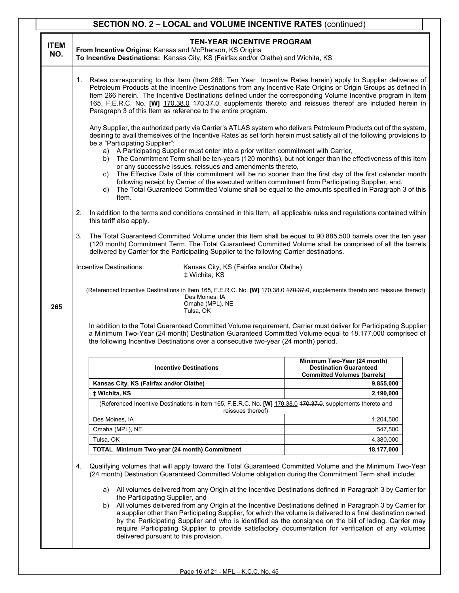|                                                                                                                                                                                                                                                                                                                    |                                                                                                                                                                                                                                                                                                                                                                                                                                                                                                                                                                                                                                                                                                                                                                                                                                           | <b>SECTION NO. 2 - LOCAL and VOLUME INCENTIVE RATES (continued)</b>                                                                                                                                                                                                                                                                                                                                                                                                                                                                                                                                                                         |                                                                                                    |  |  |
|--------------------------------------------------------------------------------------------------------------------------------------------------------------------------------------------------------------------------------------------------------------------------------------------------------------------|-------------------------------------------------------------------------------------------------------------------------------------------------------------------------------------------------------------------------------------------------------------------------------------------------------------------------------------------------------------------------------------------------------------------------------------------------------------------------------------------------------------------------------------------------------------------------------------------------------------------------------------------------------------------------------------------------------------------------------------------------------------------------------------------------------------------------------------------|---------------------------------------------------------------------------------------------------------------------------------------------------------------------------------------------------------------------------------------------------------------------------------------------------------------------------------------------------------------------------------------------------------------------------------------------------------------------------------------------------------------------------------------------------------------------------------------------------------------------------------------------|----------------------------------------------------------------------------------------------------|--|--|
| <b>ITEM</b><br>NO.                                                                                                                                                                                                                                                                                                 |                                                                                                                                                                                                                                                                                                                                                                                                                                                                                                                                                                                                                                                                                                                                                                                                                                           | TEN-YEAR INCENTIVE PROGRAM<br>From Incentive Origins: Kansas and McPherson, KS Origins<br>To Incentive Destinations: Kansas City, KS (Fairfax and/or Olathe) and Wichita, KS                                                                                                                                                                                                                                                                                                                                                                                                                                                                |                                                                                                    |  |  |
|                                                                                                                                                                                                                                                                                                                    |                                                                                                                                                                                                                                                                                                                                                                                                                                                                                                                                                                                                                                                                                                                                                                                                                                           | 1. Rates corresponding to this Item (Item 266: Ten Year Incentive Rates herein) apply to Supplier deliveries of<br>Petroleum Products at the Incentive Destinations from any Incentive Rate Origins or Origin Groups as defined in<br>Item 266 herein. The Incentive Destinations defined under the corresponding Volume Incentive program in Item<br>165, F.E.R.C. No. [W] 170.38.0 470.37.0, supplements thereto and reissues thereof are included herein in<br>Paragraph 3 of this Item as reference to the entire program.                                                                                                              |                                                                                                    |  |  |
|                                                                                                                                                                                                                                                                                                                    | Any Supplier, the authorized party via Carrier's ATLAS system who delivers Petroleum Products out of the system,<br>desiring to avail themselves of the Incentive Rates as set forth herein must satisfy all of the following provisions to<br>a) A Participating Supplier must enter into a prior written commitment with Carrier,<br>b) The Commitment Term shall be ten-years (120 months), but not longer than the effectiveness of this Item<br>or any successive issues, reissues and amendments thereto,<br>c) The Effective Date of this commitment will be no sooner than the first day of the first calendar month<br>following receipt by Carrier of the executed written commitment from Participating Supplier, and.<br>The Total Guaranteed Committed Volume shall be equal to the amounts specified in Paragraph 3 of this |                                                                                                                                                                                                                                                                                                                                                                                                                                                                                                                                                                                                                                             |                                                                                                    |  |  |
|                                                                                                                                                                                                                                                                                                                    | 2.                                                                                                                                                                                                                                                                                                                                                                                                                                                                                                                                                                                                                                                                                                                                                                                                                                        | In addition to the terms and conditions contained in this Item, all applicable rules and regulations contained within<br>this tariff also apply.                                                                                                                                                                                                                                                                                                                                                                                                                                                                                            |                                                                                                    |  |  |
|                                                                                                                                                                                                                                                                                                                    | 3.                                                                                                                                                                                                                                                                                                                                                                                                                                                                                                                                                                                                                                                                                                                                                                                                                                        | The Total Guaranteed Committed Volume under this Item shall be equal to 90,885,500 barrels over the ten year<br>(120 month) Commitment Term. The Total Guaranteed Committed Volume shall be comprised of all the barrels<br>delivered by Carrier for the Participating Supplier to the following Carrier destinations.                                                                                                                                                                                                                                                                                                                      |                                                                                                    |  |  |
|                                                                                                                                                                                                                                                                                                                    | Incentive Destinations:<br>Kansas City, KS (Fairfax and/or Olathe)<br>‡ Wichita, KS                                                                                                                                                                                                                                                                                                                                                                                                                                                                                                                                                                                                                                                                                                                                                       |                                                                                                                                                                                                                                                                                                                                                                                                                                                                                                                                                                                                                                             |                                                                                                    |  |  |
| (Referenced Incentive Destinations in Item 165, F.E.R.C. No. [W] 170.38.0 470.37.0, supplements thereto and reissues thereof)<br>Des Moines, IA<br>Omaha (MPL), NE<br>265<br>Tulsa, OK                                                                                                                             |                                                                                                                                                                                                                                                                                                                                                                                                                                                                                                                                                                                                                                                                                                                                                                                                                                           |                                                                                                                                                                                                                                                                                                                                                                                                                                                                                                                                                                                                                                             |                                                                                                    |  |  |
| In addition to the Total Guaranteed Committed Volume requirement, Carrier must deliver for Participating Supplier<br>a Minimum Two-Year (24 month) Destination Guaranteed Committed Volume equal to 18,177,000 comprised of<br>the following Incentive Destinations over a consecutive two-year (24 month) period. |                                                                                                                                                                                                                                                                                                                                                                                                                                                                                                                                                                                                                                                                                                                                                                                                                                           |                                                                                                                                                                                                                                                                                                                                                                                                                                                                                                                                                                                                                                             |                                                                                                    |  |  |
|                                                                                                                                                                                                                                                                                                                    |                                                                                                                                                                                                                                                                                                                                                                                                                                                                                                                                                                                                                                                                                                                                                                                                                                           | <b>Incentive Destinations</b>                                                                                                                                                                                                                                                                                                                                                                                                                                                                                                                                                                                                               | Minimum Two-Year (24 month)<br><b>Destination Guaranteed</b><br><b>Committed Volumes (barrels)</b> |  |  |
|                                                                                                                                                                                                                                                                                                                    |                                                                                                                                                                                                                                                                                                                                                                                                                                                                                                                                                                                                                                                                                                                                                                                                                                           | Kansas City, KS (Fairfax and/or Olathe)                                                                                                                                                                                                                                                                                                                                                                                                                                                                                                                                                                                                     | 9,855,000                                                                                          |  |  |
|                                                                                                                                                                                                                                                                                                                    |                                                                                                                                                                                                                                                                                                                                                                                                                                                                                                                                                                                                                                                                                                                                                                                                                                           | # Wichita, KS                                                                                                                                                                                                                                                                                                                                                                                                                                                                                                                                                                                                                               | 2,190,000                                                                                          |  |  |
|                                                                                                                                                                                                                                                                                                                    |                                                                                                                                                                                                                                                                                                                                                                                                                                                                                                                                                                                                                                                                                                                                                                                                                                           | (Referenced Incentive Destinations in Item 165, F.E.R.C. No. [W] 170.38.0 470.37.0, supplements thereto and<br>reissues thereof)                                                                                                                                                                                                                                                                                                                                                                                                                                                                                                            |                                                                                                    |  |  |
|                                                                                                                                                                                                                                                                                                                    |                                                                                                                                                                                                                                                                                                                                                                                                                                                                                                                                                                                                                                                                                                                                                                                                                                           | Des Moines, IA                                                                                                                                                                                                                                                                                                                                                                                                                                                                                                                                                                                                                              | 1,204,500                                                                                          |  |  |
|                                                                                                                                                                                                                                                                                                                    |                                                                                                                                                                                                                                                                                                                                                                                                                                                                                                                                                                                                                                                                                                                                                                                                                                           | Omaha (MPL), NE                                                                                                                                                                                                                                                                                                                                                                                                                                                                                                                                                                                                                             | 547,500                                                                                            |  |  |
|                                                                                                                                                                                                                                                                                                                    |                                                                                                                                                                                                                                                                                                                                                                                                                                                                                                                                                                                                                                                                                                                                                                                                                                           | Tulsa, OK                                                                                                                                                                                                                                                                                                                                                                                                                                                                                                                                                                                                                                   | 4,380,000                                                                                          |  |  |
|                                                                                                                                                                                                                                                                                                                    |                                                                                                                                                                                                                                                                                                                                                                                                                                                                                                                                                                                                                                                                                                                                                                                                                                           | TOTAL Minimum Two-year (24 month) Commitment                                                                                                                                                                                                                                                                                                                                                                                                                                                                                                                                                                                                | 18,177,000                                                                                         |  |  |
|                                                                                                                                                                                                                                                                                                                    | Qualifying volumes that will apply toward the Total Guaranteed Committed Volume and the Minimum Two-Year<br>4.<br>(24 month) Destination Guaranteed Committed Volume obligation during the Commitment Term shall include:                                                                                                                                                                                                                                                                                                                                                                                                                                                                                                                                                                                                                 |                                                                                                                                                                                                                                                                                                                                                                                                                                                                                                                                                                                                                                             |                                                                                                    |  |  |
|                                                                                                                                                                                                                                                                                                                    |                                                                                                                                                                                                                                                                                                                                                                                                                                                                                                                                                                                                                                                                                                                                                                                                                                           | a) All volumes delivered from any Origin at the Incentive Destinations defined in Paragraph 3 by Carrier for<br>the Participating Supplier, and<br>b) All volumes delivered from any Origin at the Incentive Destinations defined in Paragraph 3 by Carrier for<br>a supplier other than Participating Supplier, for which the volume is delivered to a final destination owned<br>by the Participating Supplier and who is identified as the consignee on the bill of lading. Carrier may<br>require Participating Supplier to provide satisfactory documentation for verification of any volumes<br>delivered pursuant to this provision. |                                                                                                    |  |  |

Τ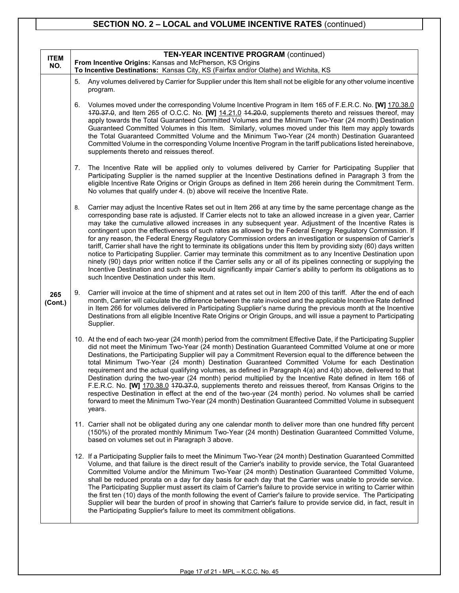# **SECTION NO. 2 – LOCAL and VOLUME INCENTIVE RATES** (continued)

| <b>ITEM</b><br>NO. | <b>TEN-YEAR INCENTIVE PROGRAM (continued)</b><br>From Incentive Origins: Kansas and McPherson, KS Origins<br>To Incentive Destinations: Kansas City, KS (Fairfax and/or Olathe) and Wichita, KS |                                                                                                                                                                                                                                                                                                                                                                                                                                                                                                                                                                                                                                                                                                                                                                                                                                                                                                                                                                                                                                                                                                           |  |  |
|--------------------|-------------------------------------------------------------------------------------------------------------------------------------------------------------------------------------------------|-----------------------------------------------------------------------------------------------------------------------------------------------------------------------------------------------------------------------------------------------------------------------------------------------------------------------------------------------------------------------------------------------------------------------------------------------------------------------------------------------------------------------------------------------------------------------------------------------------------------------------------------------------------------------------------------------------------------------------------------------------------------------------------------------------------------------------------------------------------------------------------------------------------------------------------------------------------------------------------------------------------------------------------------------------------------------------------------------------------|--|--|
|                    | 5.                                                                                                                                                                                              | Any volumes delivered by Carrier for Supplier under this Item shall not be eligible for any other volume incentive<br>program.                                                                                                                                                                                                                                                                                                                                                                                                                                                                                                                                                                                                                                                                                                                                                                                                                                                                                                                                                                            |  |  |
|                    | 6.                                                                                                                                                                                              | Volumes moved under the corresponding Volume Incentive Program in Item 165 of F.E.R.C. No. [W] 170.38.0<br>470.37.0, and Item 265 of O.C.C. No. [W] 14.21.0 44.20.0, supplements thereto and reissues thereof, may<br>apply towards the Total Guaranteed Committed Volumes and the Minimum Two-Year (24 month) Destination<br>Guaranteed Committed Volumes in this Item. Similarly, volumes moved under this Item may apply towards<br>the Total Guaranteed Committed Volume and the Minimum Two-Year (24 month) Destination Guaranteed<br>Committed Volume in the corresponding Volume Incentive Program in the tariff publications listed hereinabove,<br>supplements thereto and reissues thereof.                                                                                                                                                                                                                                                                                                                                                                                                     |  |  |
|                    | 7.                                                                                                                                                                                              | The Incentive Rate will be applied only to volumes delivered by Carrier for Participating Supplier that<br>Participating Supplier is the named supplier at the Incentive Destinations defined in Paragraph 3 from the<br>eligible Incentive Rate Origins or Origin Groups as defined in Item 266 herein during the Commitment Term.<br>No volumes that qualify under 4. (b) above will receive the Incentive Rate.                                                                                                                                                                                                                                                                                                                                                                                                                                                                                                                                                                                                                                                                                        |  |  |
|                    | 8.                                                                                                                                                                                              | Carrier may adjust the Incentive Rates set out in Item 266 at any time by the same percentage change as the<br>corresponding base rate is adjusted. If Carrier elects not to take an allowed increase in a given year, Carrier<br>may take the cumulative allowed increases in any subsequent year. Adjustment of the Incentive Rates is<br>contingent upon the effectiveness of such rates as allowed by the Federal Energy Regulatory Commission. If<br>for any reason, the Federal Energy Regulatory Commission orders an investigation or suspension of Carrier's<br>tariff, Carrier shall have the right to terminate its obligations under this Item by providing sixty (60) days written<br>notice to Participating Supplier. Carrier may terminate this commitment as to any Incentive Destination upon<br>ninety (90) days prior written notice if the Carrier sells any or all of its pipelines connecting or supplying the<br>Incentive Destination and such sale would significantly impair Carrier's ability to perform its obligations as to<br>such Incentive Destination under this Item. |  |  |
| 265<br>(Cont.)     | 9.                                                                                                                                                                                              | Carrier will invoice at the time of shipment and at rates set out in Item 200 of this tariff. After the end of each<br>month, Carrier will calculate the difference between the rate invoiced and the applicable Incentive Rate defined<br>in Item 266 for volumes delivered in Participating Supplier's name during the previous month at the Incentive<br>Destinations from all eligible Incentive Rate Origins or Origin Groups, and will issue a payment to Participating<br>Supplier.                                                                                                                                                                                                                                                                                                                                                                                                                                                                                                                                                                                                                |  |  |
|                    |                                                                                                                                                                                                 | 10. At the end of each two-year (24 month) period from the commitment Effective Date, if the Participating Supplier<br>did not meet the Minimum Two-Year (24 month) Destination Guaranteed Committed Volume at one or more<br>Destinations, the Participating Supplier will pay a Commitment Reversion equal to the difference between the<br>total Minimum Two-Year (24 month) Destination Guaranteed Committed Volume for each Destination<br>requirement and the actual qualifying volumes, as defined in Paragraph 4(a) and 4(b) above, delivered to that<br>Destination during the two-year (24 month) period multiplied by the Incentive Rate defined in Item 166 of<br>F.E.R.C. No. [W] 170.38.0 470.37.0, supplements thereto and reissues thereof, from Kansas Origins to the<br>respective Destination in effect at the end of the two-year (24 month) period. No volumes shall be carried<br>forward to meet the Minimum Two-Year (24 month) Destination Guaranteed Committed Volume in subsequent<br>years.                                                                                   |  |  |
|                    |                                                                                                                                                                                                 | 11. Carrier shall not be obligated during any one calendar month to deliver more than one hundred fifty percent<br>(150%) of the prorated monthly Minimum Two-Year (24 month) Destination Guaranteed Committed Volume,<br>based on volumes set out in Paragraph 3 above.                                                                                                                                                                                                                                                                                                                                                                                                                                                                                                                                                                                                                                                                                                                                                                                                                                  |  |  |
|                    |                                                                                                                                                                                                 | 12. If a Participating Supplier fails to meet the Minimum Two-Year (24 month) Destination Guaranteed Committed<br>Volume, and that failure is the direct result of the Carrier's inability to provide service, the Total Guaranteed<br>Committed Volume and/or the Minimum Two-Year (24 month) Destination Guaranteed Committed Volume,<br>shall be reduced prorata on a day for day basis for each day that the Carrier was unable to provide service.<br>The Participating Supplier must assert its claim of Carrier's failure to provide service in writing to Carrier within<br>the first ten (10) days of the month following the event of Carrier's failure to provide service. The Participating<br>Supplier will bear the burden of proof in showing that Carrier's failure to provide service did, in fact, result in<br>the Participating Supplier's failure to meet its commitment obligations.                                                                                                                                                                                                |  |  |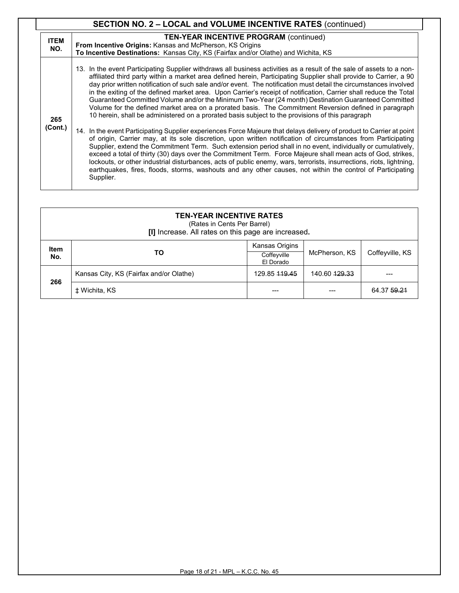|                    | <b>SECTION NO. 2 - LOCAL and VOLUME INCENTIVE RATES (continued)</b>                                                                                                                                                                                                                                                                                                                                                                                                                                                                                                                                                                                                                                                                                                                                                                                                                                                                                                                                                                                                                                                                                                                                                                                                                                                                                                                                                                                                                                                                  |
|--------------------|--------------------------------------------------------------------------------------------------------------------------------------------------------------------------------------------------------------------------------------------------------------------------------------------------------------------------------------------------------------------------------------------------------------------------------------------------------------------------------------------------------------------------------------------------------------------------------------------------------------------------------------------------------------------------------------------------------------------------------------------------------------------------------------------------------------------------------------------------------------------------------------------------------------------------------------------------------------------------------------------------------------------------------------------------------------------------------------------------------------------------------------------------------------------------------------------------------------------------------------------------------------------------------------------------------------------------------------------------------------------------------------------------------------------------------------------------------------------------------------------------------------------------------------|
| <b>ITEM</b><br>NO. | <b>TEN-YEAR INCENTIVE PROGRAM (continued)</b><br><b>From Incentive Origins: Kansas and McPherson, KS Origins</b><br>To Incentive Destinations: Kansas City, KS (Fairfax and/or Olathe) and Wichita, KS                                                                                                                                                                                                                                                                                                                                                                                                                                                                                                                                                                                                                                                                                                                                                                                                                                                                                                                                                                                                                                                                                                                                                                                                                                                                                                                               |
| 265<br>(Cont.)     | 13. In the event Participating Supplier withdraws all business activities as a result of the sale of assets to a non-<br>affiliated third party within a market area defined herein, Participating Supplier shall provide to Carrier, a 90<br>day prior written notification of such sale and/or event. The notification must detail the circumstances involved<br>in the exiting of the defined market area. Upon Carrier's receipt of notification, Carrier shall reduce the Total<br>Guaranteed Committed Volume and/or the Minimum Two-Year (24 month) Destination Guaranteed Committed<br>Volume for the defined market area on a prorated basis. The Commitment Reversion defined in paragraph<br>10 herein, shall be administered on a prorated basis subject to the provisions of this paragraph<br>14. In the event Participating Supplier experiences Force Majeure that delays delivery of product to Carrier at point<br>of origin, Carrier may, at its sole discretion, upon written notification of circumstances from Participating<br>Supplier, extend the Commitment Term. Such extension period shall in no event, individually or cumulatively,<br>exceed a total of thirty (30) days over the Commitment Term. Force Majeure shall mean acts of God, strikes,<br>lockouts, or other industrial disturbances, acts of public enemy, wars, terrorists, insurrections, riots, lightning,<br>earthquakes, fires, floods, storms, washouts and any other causes, not within the control of Participating<br>Supplier. |

| <b>TEN-YEAR INCENTIVE RATES</b><br>(Rates in Cents Per Barrel)<br>[I] Increase. All rates on this page are increased. |                                                                                      |                          |                          |             |  |
|-----------------------------------------------------------------------------------------------------------------------|--------------------------------------------------------------------------------------|--------------------------|--------------------------|-------------|--|
| <b>Item</b><br>No.                                                                                                    | Kansas Origins<br>Coffeyville, KS<br>ΤО<br>McPherson, KS<br>Coffeyville<br>El Dorado |                          |                          |             |  |
| 266                                                                                                                   | Kansas City, KS (Fairfax and/or Olathe)                                              | 129.85 <del>119.45</del> | 140.60 <del>129.33</del> |             |  |
|                                                                                                                       | ± Wichita, KS                                                                        | ---                      |                          | 64.37 59.21 |  |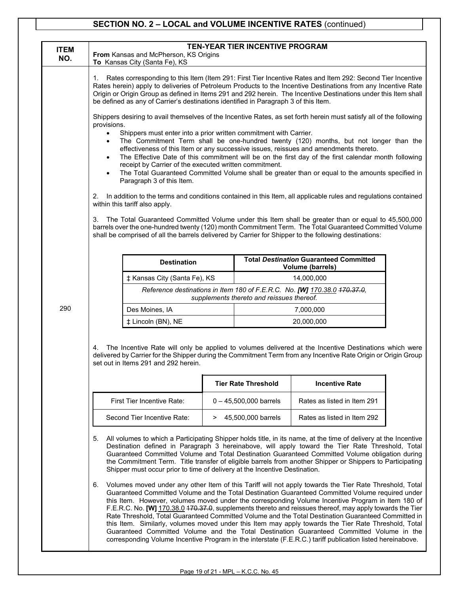# **SECTION NO. 2 – LOCAL and VOLUME INCENTIVE RATES** (continued)

| <b>ITEM</b><br>NO. | TEN-YEAR TIER INCENTIVE PROGRAM<br>From Kansas and McPherson, KS Origins<br>To Kansas City (Santa Fe), KS                                                                                                                                                                                                                                                                                                                                                                                                                                                                                                                                                                                                                                                                                                                                                                                                                                                                                                                                                                                                                                                                                                                                                                                                                                                                                                                                                                                                                                                                                                                                                                |                                                                                                                                                                                                                                                                                                                                                                                                                                                                                                                                                                                                                                                                                                                                  |   |                                           |                                                                           |  |
|--------------------|--------------------------------------------------------------------------------------------------------------------------------------------------------------------------------------------------------------------------------------------------------------------------------------------------------------------------------------------------------------------------------------------------------------------------------------------------------------------------------------------------------------------------------------------------------------------------------------------------------------------------------------------------------------------------------------------------------------------------------------------------------------------------------------------------------------------------------------------------------------------------------------------------------------------------------------------------------------------------------------------------------------------------------------------------------------------------------------------------------------------------------------------------------------------------------------------------------------------------------------------------------------------------------------------------------------------------------------------------------------------------------------------------------------------------------------------------------------------------------------------------------------------------------------------------------------------------------------------------------------------------------------------------------------------------|----------------------------------------------------------------------------------------------------------------------------------------------------------------------------------------------------------------------------------------------------------------------------------------------------------------------------------------------------------------------------------------------------------------------------------------------------------------------------------------------------------------------------------------------------------------------------------------------------------------------------------------------------------------------------------------------------------------------------------|---|-------------------------------------------|---------------------------------------------------------------------------|--|
|                    | Rates corresponding to this Item (Item 291: First Tier Incentive Rates and Item 292: Second Tier Incentive<br>1.<br>Rates herein) apply to deliveries of Petroleum Products to the Incentive Destinations from any Incentive Rate<br>Origin or Origin Group as defined in Items 291 and 292 herein. The Incentive Destinations under this Item shall<br>be defined as any of Carrier's destinations identified in Paragraph 3 of this Item.<br>Shippers desiring to avail themselves of the Incentive Rates, as set forth herein must satisfy all of the following<br>provisions.<br>Shippers must enter into a prior written commitment with Carrier.<br>The Commitment Term shall be one-hundred twenty (120) months, but not longer than the<br>$\bullet$<br>effectiveness of this Item or any successive issues, reissues and amendments thereto.<br>The Effective Date of this commitment will be on the first day of the first calendar month following<br>$\bullet$<br>receipt by Carrier of the executed written commitment.<br>The Total Guaranteed Committed Volume shall be greater than or equal to the amounts specified in<br>$\bullet$<br>Paragraph 3 of this Item.<br>2.<br>In addition to the terms and conditions contained in this Item, all applicable rules and regulations contained<br>within this tariff also apply.<br>3. The Total Guaranteed Committed Volume under this Item shall be greater than or equal to 45,500,000<br>barrels over the one-hundred twenty (120) month Commitment Term. The Total Guaranteed Committed Volume<br>shall be comprised of all the barrels delivered by Carrier for Shipper to the following destinations: |                                                                                                                                                                                                                                                                                                                                                                                                                                                                                                                                                                                                                                                                                                                                  |   |                                           |                                                                           |  |
|                    |                                                                                                                                                                                                                                                                                                                                                                                                                                                                                                                                                                                                                                                                                                                                                                                                                                                                                                                                                                                                                                                                                                                                                                                                                                                                                                                                                                                                                                                                                                                                                                                                                                                                          |                                                                                                                                                                                                                                                                                                                                                                                                                                                                                                                                                                                                                                                                                                                                  |   |                                           |                                                                           |  |
|                    |                                                                                                                                                                                                                                                                                                                                                                                                                                                                                                                                                                                                                                                                                                                                                                                                                                                                                                                                                                                                                                                                                                                                                                                                                                                                                                                                                                                                                                                                                                                                                                                                                                                                          | <b>Destination</b>                                                                                                                                                                                                                                                                                                                                                                                                                                                                                                                                                                                                                                                                                                               |   |                                           | <b>Total Destination Guaranteed Committed</b><br><b>Volume (barrels)</b>  |  |
|                    |                                                                                                                                                                                                                                                                                                                                                                                                                                                                                                                                                                                                                                                                                                                                                                                                                                                                                                                                                                                                                                                                                                                                                                                                                                                                                                                                                                                                                                                                                                                                                                                                                                                                          | ‡ Kansas City (Santa Fe), KS                                                                                                                                                                                                                                                                                                                                                                                                                                                                                                                                                                                                                                                                                                     |   |                                           | 14,000,000                                                                |  |
|                    |                                                                                                                                                                                                                                                                                                                                                                                                                                                                                                                                                                                                                                                                                                                                                                                                                                                                                                                                                                                                                                                                                                                                                                                                                                                                                                                                                                                                                                                                                                                                                                                                                                                                          |                                                                                                                                                                                                                                                                                                                                                                                                                                                                                                                                                                                                                                                                                                                                  |   | supplements thereto and reissues thereof. | Reference destinations in Item 180 of F.E.R.C. No. [W] 170.38.0 470.37.0, |  |
| 290                |                                                                                                                                                                                                                                                                                                                                                                                                                                                                                                                                                                                                                                                                                                                                                                                                                                                                                                                                                                                                                                                                                                                                                                                                                                                                                                                                                                                                                                                                                                                                                                                                                                                                          | Des Moines, IA                                                                                                                                                                                                                                                                                                                                                                                                                                                                                                                                                                                                                                                                                                                   |   |                                           | 7,000,000                                                                 |  |
|                    |                                                                                                                                                                                                                                                                                                                                                                                                                                                                                                                                                                                                                                                                                                                                                                                                                                                                                                                                                                                                                                                                                                                                                                                                                                                                                                                                                                                                                                                                                                                                                                                                                                                                          | ‡ Lincoln (BN), NE                                                                                                                                                                                                                                                                                                                                                                                                                                                                                                                                                                                                                                                                                                               |   |                                           | 20,000,000                                                                |  |
|                    | 4.                                                                                                                                                                                                                                                                                                                                                                                                                                                                                                                                                                                                                                                                                                                                                                                                                                                                                                                                                                                                                                                                                                                                                                                                                                                                                                                                                                                                                                                                                                                                                                                                                                                                       | The Incentive Rate will only be applied to volumes delivered at the Incentive Destinations which were<br>delivered by Carrier for the Shipper during the Commitment Term from any Incentive Rate Origin or Origin Group<br>set out in Items 291 and 292 herein.<br><b>Tier Rate Threshold</b><br><b>Incentive Rate</b>                                                                                                                                                                                                                                                                                                                                                                                                           |   |                                           |                                                                           |  |
|                    |                                                                                                                                                                                                                                                                                                                                                                                                                                                                                                                                                                                                                                                                                                                                                                                                                                                                                                                                                                                                                                                                                                                                                                                                                                                                                                                                                                                                                                                                                                                                                                                                                                                                          | First Tier Incentive Rate:                                                                                                                                                                                                                                                                                                                                                                                                                                                                                                                                                                                                                                                                                                       |   | $0 - 45,500,000$ barrels                  | Rates as listed in Item 291                                               |  |
|                    |                                                                                                                                                                                                                                                                                                                                                                                                                                                                                                                                                                                                                                                                                                                                                                                                                                                                                                                                                                                                                                                                                                                                                                                                                                                                                                                                                                                                                                                                                                                                                                                                                                                                          | Second Tier Incentive Rate:                                                                                                                                                                                                                                                                                                                                                                                                                                                                                                                                                                                                                                                                                                      | > | 45,500,000 barrels                        | Rates as listed in Item 292                                               |  |
|                    | 5.<br>6.                                                                                                                                                                                                                                                                                                                                                                                                                                                                                                                                                                                                                                                                                                                                                                                                                                                                                                                                                                                                                                                                                                                                                                                                                                                                                                                                                                                                                                                                                                                                                                                                                                                                 | All volumes to which a Participating Shipper holds title, in its name, at the time of delivery at the Incentive<br>Destination defined in Paragraph 3 hereinabove, will apply toward the Tier Rate Threshold, Total<br>Guaranteed Committed Volume and Total Destination Guaranteed Committed Volume obligation during<br>the Commitment Term. Title transfer of eligible barrels from another Shipper or Shippers to Participating<br>Shipper must occur prior to time of delivery at the Incentive Destination.<br>Volumes moved under any other Item of this Tariff will not apply towards the Tier Rate Threshold, Total<br>Guaranteed Committed Volume and the Total Destination Guaranteed Committed Volume required under |   |                                           |                                                                           |  |
|                    | this Item. However, volumes moved under the corresponding Volume Incentive Program in Item 180 of<br>F.E.R.C. No. [W] 170.38.0 470.37.0, supplements thereto and reissues thereof, may apply towards the Tier<br>Rate Threshold, Total Guaranteed Committed Volume and the Total Destination Guaranteed Committed in<br>this Item. Similarly, volumes moved under this Item may apply towards the Tier Rate Threshold, Total<br>Guaranteed Committed Volume and the Total Destination Guaranteed Committed Volume in the<br>corresponding Volume Incentive Program in the interstate (F.E.R.C.) tariff publication listed hereinabove.                                                                                                                                                                                                                                                                                                                                                                                                                                                                                                                                                                                                                                                                                                                                                                                                                                                                                                                                                                                                                                   |                                                                                                                                                                                                                                                                                                                                                                                                                                                                                                                                                                                                                                                                                                                                  |   |                                           |                                                                           |  |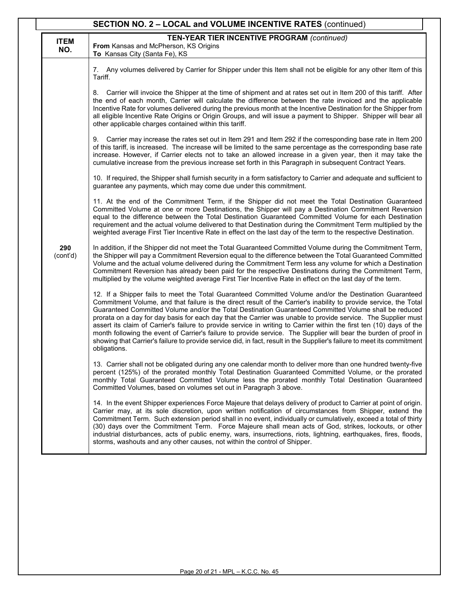|                    | <b>SECTION NO. 2 - LOCAL and VOLUME INCENTIVE RATES (continued)</b>                                                                                                                                                                                                                                                                                                                                                                                                                                                                                                                                                                                                                                                                                                                                                                          |
|--------------------|----------------------------------------------------------------------------------------------------------------------------------------------------------------------------------------------------------------------------------------------------------------------------------------------------------------------------------------------------------------------------------------------------------------------------------------------------------------------------------------------------------------------------------------------------------------------------------------------------------------------------------------------------------------------------------------------------------------------------------------------------------------------------------------------------------------------------------------------|
| <b>ITEM</b><br>NO. | <b>TEN-YEAR TIER INCENTIVE PROGRAM (continued)</b><br>From Kansas and McPherson, KS Origins<br>To Kansas City (Santa Fe), KS                                                                                                                                                                                                                                                                                                                                                                                                                                                                                                                                                                                                                                                                                                                 |
|                    | 7. Any volumes delivered by Carrier for Shipper under this Item shall not be eligible for any other Item of this<br>Tariff.                                                                                                                                                                                                                                                                                                                                                                                                                                                                                                                                                                                                                                                                                                                  |
|                    | Carrier will invoice the Shipper at the time of shipment and at rates set out in Item 200 of this tariff. After<br>8.<br>the end of each month, Carrier will calculate the difference between the rate invoiced and the applicable<br>Incentive Rate for volumes delivered during the previous month at the Incentive Destination for the Shipper from<br>all eligible Incentive Rate Origins or Origin Groups, and will issue a payment to Shipper. Shipper will bear all<br>other applicable charges contained within this tariff.                                                                                                                                                                                                                                                                                                         |
|                    | 9. Carrier may increase the rates set out in Item 291 and Item 292 if the corresponding base rate in Item 200<br>of this tariff, is increased. The increase will be limited to the same percentage as the corresponding base rate<br>increase. However, if Carrier elects not to take an allowed increase in a given year, then it may take the<br>cumulative increase from the previous increase set forth in this Paragraph in subsequent Contract Years.                                                                                                                                                                                                                                                                                                                                                                                  |
|                    | 10. If required, the Shipper shall furnish security in a form satisfactory to Carrier and adequate and sufficient to<br>guarantee any payments, which may come due under this commitment.                                                                                                                                                                                                                                                                                                                                                                                                                                                                                                                                                                                                                                                    |
|                    | 11. At the end of the Commitment Term, if the Shipper did not meet the Total Destination Guaranteed<br>Committed Volume at one or more Destinations, the Shipper will pay a Destination Commitment Reversion<br>equal to the difference between the Total Destination Guaranteed Committed Volume for each Destination<br>requirement and the actual volume delivered to that Destination during the Commitment Term multiplied by the<br>weighted average First Tier Incentive Rate in effect on the last day of the term to the respective Destination.                                                                                                                                                                                                                                                                                    |
| 290<br>(cont'd)    | In addition, if the Shipper did not meet the Total Guaranteed Committed Volume during the Commitment Term,<br>the Shipper will pay a Commitment Reversion equal to the difference between the Total Guaranteed Committed<br>Volume and the actual volume delivered during the Commitment Term less any volume for which a Destination<br>Commitment Reversion has already been paid for the respective Destinations during the Commitment Term,<br>multiplied by the volume weighted average First Tier Incentive Rate in effect on the last day of the term.                                                                                                                                                                                                                                                                                |
|                    | 12. If a Shipper fails to meet the Total Guaranteed Committed Volume and/or the Destination Guaranteed<br>Commitment Volume, and that failure is the direct result of the Carrier's inability to provide service, the Total<br>Guaranteed Committed Volume and/or the Total Destination Guaranteed Committed Volume shall be reduced<br>prorata on a day for day basis for each day that the Carrier was unable to provide service. The Supplier must<br>assert its claim of Carrier's failure to provide service in writing to Carrier within the first ten (10) days of the<br>month following the event of Carrier's failure to provide service. The Supplier will bear the burden of proof in<br>showing that Carrier's failure to provide service did, in fact, result in the Supplier's failure to meet its commitment<br>obligations. |
|                    | 13. Carrier shall not be obligated during any one calendar month to deliver more than one hundred twenty-five<br>percent (125%) of the prorated monthly Total Destination Guaranteed Committed Volume, or the prorated<br>monthly Total Guaranteed Committed Volume less the prorated monthly Total Destination Guaranteed<br>Committed Volumes, based on volumes set out in Paragraph 3 above.                                                                                                                                                                                                                                                                                                                                                                                                                                              |
|                    | 14. In the event Shipper experiences Force Majeure that delays delivery of product to Carrier at point of origin.<br>Carrier may, at its sole discretion, upon written notification of circumstances from Shipper, extend the<br>Commitment Term. Such extension period shall in no event, individually or cumulatively, exceed a total of thirty<br>(30) days over the Commitment Term. Force Majeure shall mean acts of God, strikes, lockouts, or other<br>industrial disturbances, acts of public enemy, wars, insurrections, riots, lightning, earthquakes, fires, floods,<br>storms, washouts and any other causes, not within the control of Shipper.                                                                                                                                                                                 |